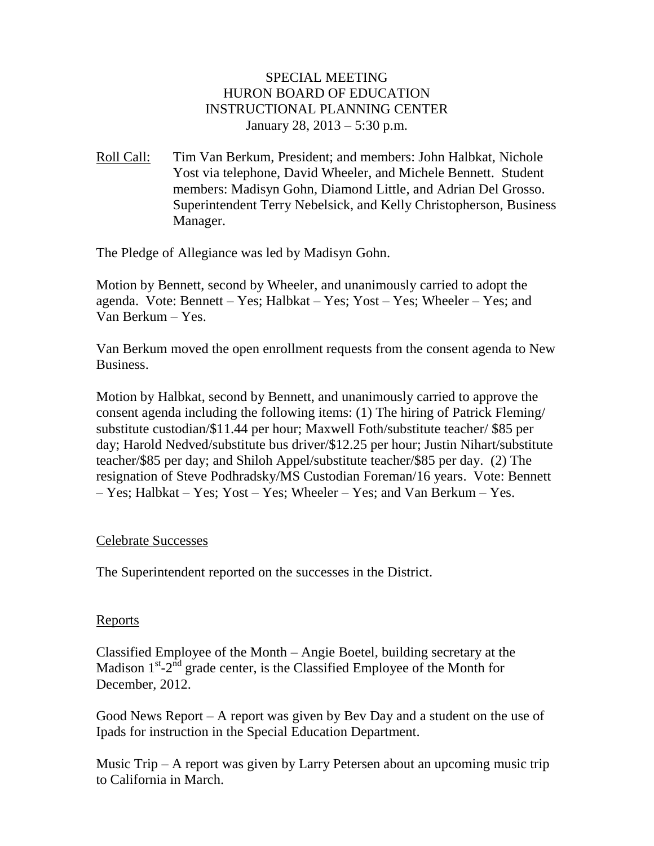## SPECIAL MEETING HURON BOARD OF EDUCATION INSTRUCTIONAL PLANNING CENTER January 28, 2013 – 5:30 p.m.

Roll Call: Tim Van Berkum, President; and members: John Halbkat, Nichole Yost via telephone, David Wheeler, and Michele Bennett. Student members: Madisyn Gohn, Diamond Little, and Adrian Del Grosso. Superintendent Terry Nebelsick, and Kelly Christopherson, Business Manager.

The Pledge of Allegiance was led by Madisyn Gohn.

Motion by Bennett, second by Wheeler, and unanimously carried to adopt the agenda. Vote: Bennett – Yes; Halbkat – Yes; Yost – Yes; Wheeler – Yes; and Van Berkum – Yes.

Van Berkum moved the open enrollment requests from the consent agenda to New Business.

Motion by Halbkat, second by Bennett, and unanimously carried to approve the consent agenda including the following items: (1) The hiring of Patrick Fleming/ substitute custodian/\$11.44 per hour; Maxwell Foth/substitute teacher/ \$85 per day; Harold Nedved/substitute bus driver/\$12.25 per hour; Justin Nihart/substitute teacher/\$85 per day; and Shiloh Appel/substitute teacher/\$85 per day. (2) The resignation of Steve Podhradsky/MS Custodian Foreman/16 years. Vote: Bennett – Yes; Halbkat – Yes; Yost – Yes; Wheeler – Yes; and Van Berkum – Yes.

## Celebrate Successes

The Superintendent reported on the successes in the District.

#### Reports

Classified Employee of the Month – Angie Boetel, building secretary at the Madison  $1^{st}$ - $2^{nd}$  grade center, is the Classified Employee of the Month for December, 2012.

Good News Report – A report was given by Bev Day and a student on the use of Ipads for instruction in the Special Education Department.

Music Trip – A report was given by Larry Petersen about an upcoming music trip to California in March.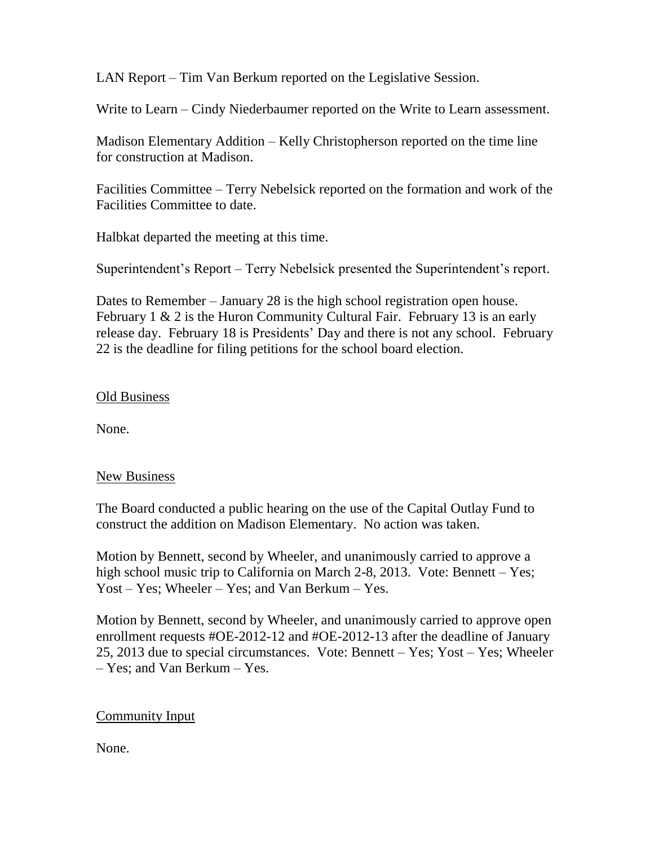LAN Report – Tim Van Berkum reported on the Legislative Session.

Write to Learn – Cindy Niederbaumer reported on the Write to Learn assessment.

Madison Elementary Addition – Kelly Christopherson reported on the time line for construction at Madison.

Facilities Committee – Terry Nebelsick reported on the formation and work of the Facilities Committee to date.

Halbkat departed the meeting at this time.

Superintendent's Report – Terry Nebelsick presented the Superintendent's report.

Dates to Remember – January 28 is the high school registration open house. February 1 & 2 is the Huron Community Cultural Fair. February 13 is an early release day. February 18 is Presidents' Day and there is not any school. February 22 is the deadline for filing petitions for the school board election.

## Old Business

None.

# New Business

The Board conducted a public hearing on the use of the Capital Outlay Fund to construct the addition on Madison Elementary. No action was taken.

Motion by Bennett, second by Wheeler, and unanimously carried to approve a high school music trip to California on March 2-8, 2013. Vote: Bennett – Yes; Yost – Yes; Wheeler – Yes; and Van Berkum – Yes.

Motion by Bennett, second by Wheeler, and unanimously carried to approve open enrollment requests #OE-2012-12 and #OE-2012-13 after the deadline of January 25, 2013 due to special circumstances. Vote: Bennett – Yes; Yost – Yes; Wheeler – Yes; and Van Berkum – Yes.

# Community Input

None.